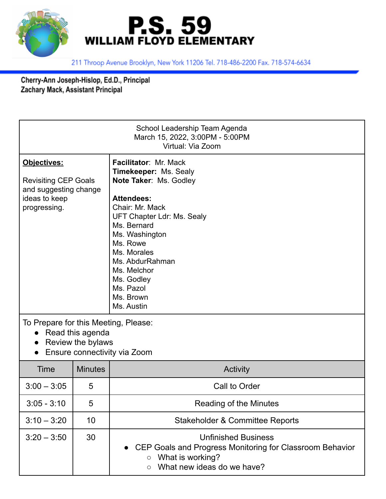



211 Throop Avenue Brooklyn, New York 11206 Tel. 718-486-2200 Fax. 718-574-6634

Cherry-Ann Joseph-Hislop, Ed.D., Principal<br>Zachary Mack, Assistant Principal

| School Leadership Team Agenda<br>March 15, 2022, 3:00PM - 5:00PM<br>Virtual: Via Zoom                                      |                |                                                                                                                                                                                                                                                                                                                  |  |  |
|----------------------------------------------------------------------------------------------------------------------------|----------------|------------------------------------------------------------------------------------------------------------------------------------------------------------------------------------------------------------------------------------------------------------------------------------------------------------------|--|--|
| Objectives:<br><b>Revisiting CEP Goals</b><br>and suggesting change<br>ideas to keep<br>progressing.                       |                | <b>Facilitator: Mr. Mack</b><br><b>Timekeeper: Ms. Sealy</b><br>Note Taker: Ms. Godley<br><b>Attendees:</b><br>Chair: Mr. Mack<br>UFT Chapter Ldr: Ms. Sealy<br>Ms. Bernard<br>Ms. Washington<br>Ms. Rowe<br>Ms. Morales<br>Ms. AbdurRahman<br>Ms. Melchor<br>Ms. Godley<br>Ms. Pazol<br>Ms. Brown<br>Ms. Austin |  |  |
| To Prepare for this Meeting, Please:<br>Read this agenda<br>$\bullet$<br>Review the bylaws<br>Ensure connectivity via Zoom |                |                                                                                                                                                                                                                                                                                                                  |  |  |
| Time                                                                                                                       | <b>Minutes</b> | Activity                                                                                                                                                                                                                                                                                                         |  |  |
| $3:00 - 3:05$                                                                                                              | 5              | Call to Order                                                                                                                                                                                                                                                                                                    |  |  |
| $3:05 - 3:10$                                                                                                              | 5              | Reading of the Minutes                                                                                                                                                                                                                                                                                           |  |  |
| $3:10 - 3:20$                                                                                                              | 10             | <b>Stakeholder &amp; Committee Reports</b>                                                                                                                                                                                                                                                                       |  |  |
| $3:20 - 3:50$                                                                                                              | 30             | <b>Unfinished Business</b><br>CEP Goals and Progress Monitoring for Classroom Behavior<br>What is working?<br>$\circ$<br>What new ideas do we have?<br>$\circ$                                                                                                                                                   |  |  |